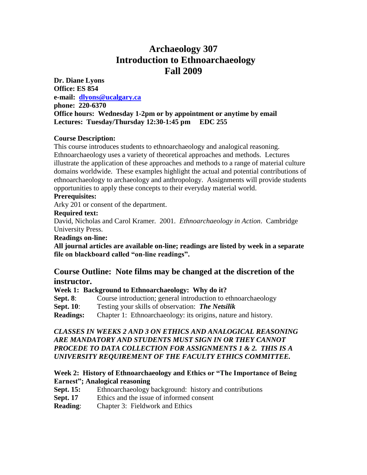# **Archaeology 307 Introduction to Ethnoarchaeology Fall 2009**

**Dr. Diane Lyons Office: ES 854 e-mail: [dlyons@ucalgary.ca](mailto:dlyons@ucalgary.ca) phone: 220-6370 Office hours: Wednesday 1-2pm or by appointment or anytime by email Lectures: Tuesday/Thursday 12:30-1:45 pm EDC 255**

## **Course Description:**

This course introduces students to ethnoarchaeology and analogical reasoning. Ethnoarchaeology uses a variety of theoretical approaches and methods. Lectures illustrate the application of these approaches and methods to a range of material culture domains worldwide. These examples highlight the actual and potential contributions of ethnoarchaeology to archaeology and anthropology. Assignments will provide students opportunities to apply these concepts to their everyday material world.

## **Prerequisites:**

Arky 201 or consent of the department.

## **Required text:**

David, Nicholas and Carol Kramer. 2001. *Ethnoarchaeology in Action*. Cambridge University Press.

## **Readings on-line:**

**All journal articles are available on-line; readings are listed by week in a separate file on blackboard called "on-line readings".** 

## **Course Outline: Note films may be changed at the discretion of the instructor.**

## **Week 1: Background to Ethnoarchaeology: Why do it?**

**Sept. 8:** Course introduction; general introduction to ethnoarchaeology

**Sept. 10**: Testing your skills of observation: *The Netsilik*

**Readings:** Chapter 1: Ethnoarchaeology: its origins, nature and history.

## *CLASSES IN WEEKS 2 AND 3 ON ETHICS AND ANALOGICAL REASONING ARE MANDATORY AND STUDENTS MUST SIGN IN OR THEY CANNOT PROCEDE TO DATA COLLECTION FOR ASSIGNMENTS 1 & 2. THIS IS A UNIVERSITY REQUIREMENT OF THE FACULTY ETHICS COMMITTEE.*

## **Week 2: History of Ethnoarchaeology and Ethics or "The Importance of Being Earnest"; Analogical reasoning**

- **Sept. 15:** Ethnoarchaeology background: history and contributions
- **Sept. 17** Ethics and the issue of informed consent
- **Reading**: Chapter 3: Fieldwork and Ethics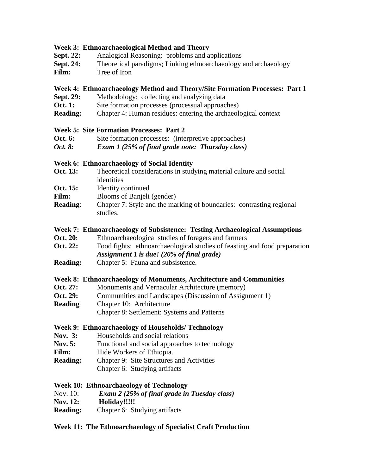#### **Week 3: Ethnoarchaeological Method and Theory**

- **Sept. 22:** Analogical Reasoning: problems and applications
- **Sept. 24:** Theoretical paradigms; Linking ethnoarchaeology and archaeology
- **Film:** Tree of Iron

#### **Week 4: Ethnoarchaeology Method and Theory/Site Formation Processes: Part 1**

- **Sept. 29:** Methodology: collecting and analyzing data
- **Oct. 1:** Site formation processes (processual approaches)
- **Reading:** Chapter 4: Human residues: entering the archaeological context

#### **Week 5: Site Formation Processes: Part 2**

- **Oct. 6:** Site formation processes: (interpretive approaches)
- *Oct. 8: Exam 1 (25% of final grade note: Thursday class)*

## **Week 6: Ethnoarchaeology of Social Identity**

- **Oct. 13:** Theoretical considerations in studying material culture and social identities
- **Oct. 15:** Identity continued
- Film: Blooms of Banjeli (gender)
- **Reading:** Chapter 7: Style and the marking of boundaries: contrasting regional studies.

#### **Week 7: Ethnoarchaeology of Subsistence: Testing Archaeological Assumptions**

- **Oct. 20:** Ethnoarchaeological studies of foragers and farmers
- **Oct. 22:** Food fights: ethnoarchaeological studies of feasting and food preparation *Assignment 1 is due! (20% of final grade)*
- **Reading:** Chapter 5: Fauna and subsistence.

#### **Week 8: Ethnoarchaeology of Monuments, Architecture and Communities**

- **Oct. 27:** Monuments and Vernacular Architecture (memory)
- **Oct. 29:** Communities and Landscapes (Discussion of Assignment 1)
- **Reading** Chapter 10: Architecture

Chapter 8: Settlement: Systems and Patterns

#### **Week 9: Ethnoarchaeology of Households/ Technology**

- **Nov. 3:** Households and social relations
- Nov. 5: Functional and social approaches to technology
- Film: Hide Workers of Ethiopia.
- **Reading:** Chapter 9: Site Structures and Activities
	- Chapter 6: Studying artifacts

## **Week 10: Ethnoarchaeology of Technology**

- Nov. 10: *Exam 2 (25% of final grade in Tuesday class)*
- **Nov. 12: Holiday!!!!!**
- **Reading:** Chapter 6: Studying artifacts

## **Week 11: The Ethnoarchaeology of Specialist Craft Production**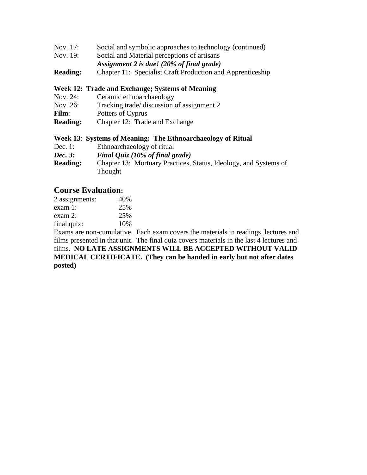| Nov. 17: |  | Social and symbolic approaches to technology (continued) |
|----------|--|----------------------------------------------------------|
|          |  |                                                          |

- Nov. 19: Social and Material perceptions of artisans
- *Assignment 2 is due! (20% of final grade)*
- **Reading:** Chapter 11: Specialist Craft Production and Apprenticeship

#### **Week 12: Trade and Exchange; Systems of Meaning**

- Nov. 24: Ceramic ethnoarchaeology
- Nov. 26: Tracking trade/ discussion of assignment 2
- Film: Potters of Cyprus
- **Reading:** Chapter 12: Trade and Exchange

#### **Week 13**: **Systems of Meaning: The Ethnoarchaeology of Ritual**

- Dec. 1: Ethnoarchaeology of ritual
- *Dec. 3: Final Quiz (10% of final grade)*
- **Reading:** Chapter 13: Mortuary Practices, Status, Ideology, and Systems of Thought

## **Course Evaluation:**

| 40% |
|-----|
| 25% |
| 25% |
| 10% |
|     |

Exams are non-cumulative. Each exam covers the materials in readings, lectures and films presented in that unit. The final quiz covers materials in the last 4 lectures and films. **NO LATE ASSIGNMENTS WILL BE ACCEPTED WITHOUT VALID MEDICAL CERTIFICATE. (They can be handed in early but not after dates posted)**